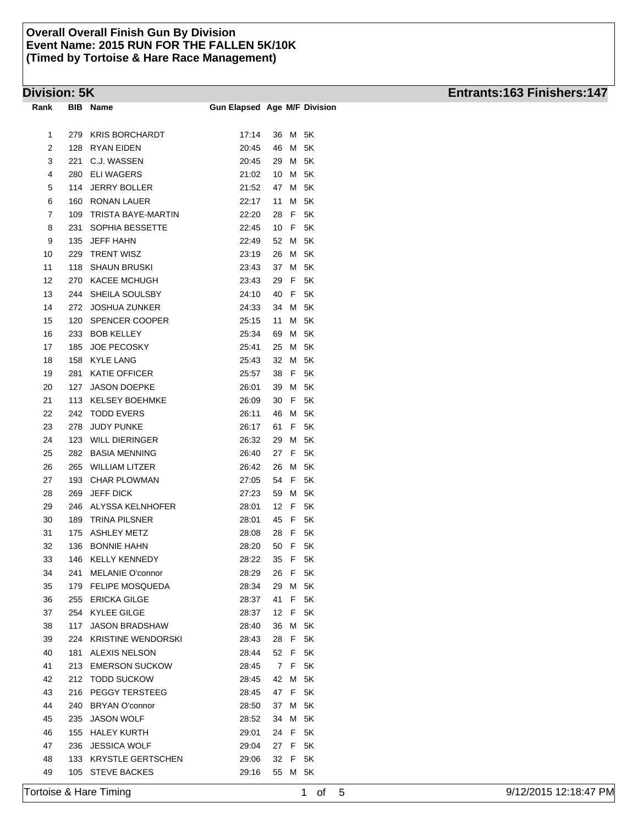| Rank | BIB | <b>Name</b>               | <b>Gun Elapsed Age M/F Division</b> |    |             |    |
|------|-----|---------------------------|-------------------------------------|----|-------------|----|
|      |     |                           |                                     |    |             |    |
| 1    | 279 | <b>KRIS BORCHARDT</b>     | 17:14                               | 36 | Μ           | 5K |
| 2    | 128 | RYAN EIDEN                | 20:45                               | 46 | М           | 5K |
| 3    | 221 | C.J. WASSEN               | 20:45                               | 29 | М           | 5K |
| 4    | 280 | <b>ELI WAGERS</b>         | 21:02                               | 10 | М           | 5K |
| 5    | 114 | <b>JERRY BOLLER</b>       | 21:52                               | 47 | М           | 5K |
| 6    | 160 | <b>RONAN LAUER</b>        | 22:17                               | 11 | М           | 5K |
| 7    | 109 | TRISTA BAYE-MARTIN        | 22:20                               | 28 | F           | 5K |
| 8    | 231 | SOPHIA BESSETTE           | 22:45                               | 10 | F           | 5K |
| 9    | 135 | <b>JEFF HAHN</b>          | 22:49                               | 52 | M           | 5K |
| 10   | 229 | <b>TRENT WISZ</b>         | 23:19                               | 26 | M           | 5K |
| 11   | 118 | <b>SHAUN BRUSKI</b>       | 23:43                               | 37 | M           | 5K |
| 12   | 270 | KACEE MCHUGH              | 23:43                               | 29 | F           | 5K |
| 13   | 244 | SHEILA SOULSBY            | 24:10                               | 40 | F           | 5Κ |
| 14   | 272 | <b>JOSHUA ZUNKER</b>      | 24:33                               | 34 | М           | 5K |
| 15   | 120 | SPENCER COOPER            | 25:15                               | 11 | М           | 5K |
| 16   | 233 | <b>BOB KELLEY</b>         | 25:34                               | 69 | М           | 5K |
| 17   | 185 | <b>JOE PECOSKY</b>        | 25:41                               | 25 | М           | 5K |
| 18   | 158 | <b>KYLE LANG</b>          | 25:43                               | 32 | М           | 5K |
| 19   | 281 | <b>KATIE OFFICER</b>      | 25:57                               | 38 | F           | 5K |
| 20   | 127 | <b>JASON DOEPKE</b>       | 26:01                               | 39 | М           | 5K |
| 21   | 113 | <b>KELSEY BOEHMKE</b>     | 26:09                               | 30 | F           | 5Κ |
| 22   | 242 | <b>TODD EVERS</b>         | 26:11                               | 46 | M           | 5K |
| 23   | 278 | <b>JUDY PUNKE</b>         | 26:17                               | 61 | F           | 5K |
| 24   | 123 | <b>WILL DIERINGER</b>     | 26:32                               | 29 | М           | 5K |
| 25   | 282 | <b>BASIA MENNING</b>      | 26:40                               | 27 | F           | 5K |
| 26   | 265 | <b>WILLIAM LITZER</b>     | 26:42                               | 26 | M           | 5K |
| 27   | 193 | <b>CHAR PLOWMAN</b>       | 27:05                               | 54 | F           | 5K |
| 28   | 269 | <b>JEFF DICK</b>          | 27:23                               | 59 | M           | 5K |
| 29   | 246 | ALYSSA KELNHOFER          | 28:01                               | 12 | F           | 5K |
| 30   | 189 | <b>TRINA PILSNER</b>      | 28:01                               | 45 | F           | 5Κ |
| 31   | 175 | <b>ASHLEY METZ</b>        | 28:08                               | 28 | F           | 5K |
| 32   | 136 | <b>BONNIE HAHN</b>        | 28:20                               | 50 | F           | 5K |
| 33   | 146 | <b>KELLY KENNEDY</b>      | 28:22                               | 35 | F           | 5K |
| 34   | 241 | <b>MELANIE O'connor</b>   | 28:29                               | 26 | $\mathsf F$ | 5K |
| 35   |     | 179 FELIPE MOSQUEDA       | 28:34                               | 29 | Μ           | 5K |
| 36   | 255 | <b>ERICKA GILGE</b>       | 28:37                               | 41 | F           | 5K |
| 37   | 254 | <b>KYLEE GILGE</b>        | 28:37                               | 12 | F           | 5K |
| 38   | 117 | <b>JASON BRADSHAW</b>     | 28:40                               | 36 | M           | 5K |
| 39   | 224 | <b>KRISTINE WENDORSKI</b> | 28:43                               | 28 | F           | 5K |
| 40   | 181 | <b>ALEXIS NELSON</b>      | 28:44                               | 52 | F           | 5K |
| 41   | 213 | <b>EMERSON SUCKOW</b>     | 28:45                               | 7  | F           | 5K |
| 42   | 212 | <b>TODD SUCKOW</b>        | 28:45                               | 42 | M           | 5K |
| 43   | 216 | PEGGY TERSTEEG            | 28:45                               | 47 | F           | 5K |
| 44   | 240 | <b>BRYAN O'connor</b>     | 28:50                               | 37 | M           | 5K |
| 45   | 235 | <b>JASON WOLF</b>         | 28:52                               | 34 | Μ           | 5K |
| 46   | 155 | <b>HALEY KURTH</b>        | 29:01                               | 24 | F           | 5K |
| 47   |     | <b>JESSICA WOLF</b>       |                                     | 27 | F           | 5K |
|      | 236 | <b>KRYSTLE GERTSCHEN</b>  | 29:04                               |    | F           | 5K |
| 48   | 133 |                           | 29:06                               | 32 |             |    |
| 49   | 105 | <b>STEVE BACKES</b>       | 29:16                               | 55 | Μ           | 5Κ |

# **Division: 5K Entrants:163 Finishers:147**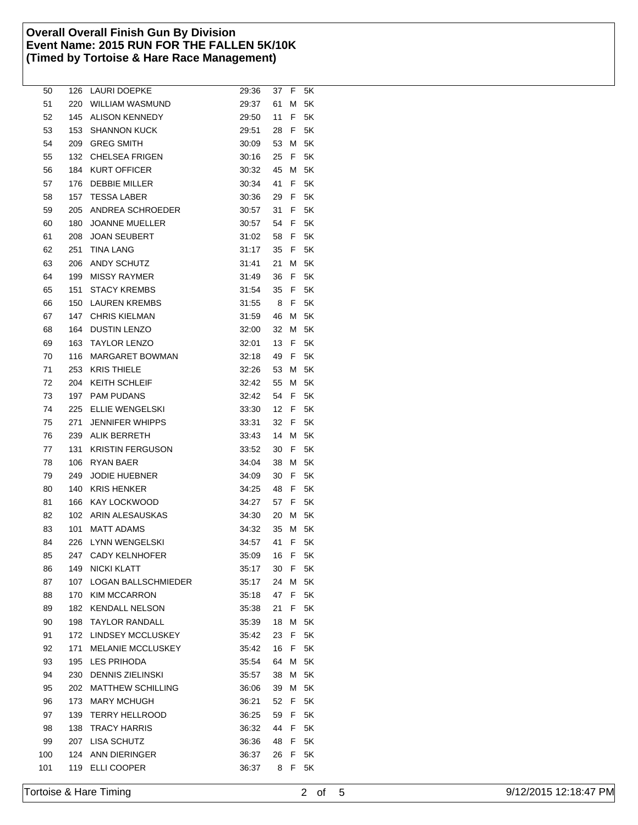| 50  | 126 | LAURI DOEPKE             | 29:36 | 37 | F  | 5Κ |  |
|-----|-----|--------------------------|-------|----|----|----|--|
| 51  | 220 | <b>WILLIAM WASMUND</b>   | 29:37 | 61 | M  | 5Κ |  |
| 52  | 145 | <b>ALISON KENNEDY</b>    | 29:50 | 11 | F  | 5Κ |  |
| 53  | 153 | <b>SHANNON KUCK</b>      | 29:51 | 28 | F  | 5Κ |  |
| 54  | 209 | <b>GREG SMITH</b>        | 30:09 | 53 | Μ  | 5Κ |  |
| 55  | 132 | <b>CHELSEA FRIGEN</b>    | 30:16 | 25 | F  | 5K |  |
| 56  | 184 | <b>KURT OFFICER</b>      | 30:32 | 45 | Μ  | 5Κ |  |
| 57  | 176 | DEBBIE MILLER            | 30:34 | 41 | F  | 5Κ |  |
| 58  | 157 | <b>TESSA LABER</b>       | 30:36 | 29 | F  | 5Κ |  |
| 59  | 205 | ANDREA SCHROEDER         | 30:57 | 31 | F. | 5K |  |
| 60  | 180 | <b>JOANNE MUELLER</b>    | 30:57 | 54 | F  | 5K |  |
| 61  | 208 | <b>JOAN SEUBERT</b>      | 31:02 | 58 | F  | 5K |  |
| 62  | 251 | <b>TINA LANG</b>         | 31:17 | 35 | F  | 5Κ |  |
| 63  | 206 | <b>ANDY SCHUTZ</b>       | 31:41 | 21 | Μ  | 5Κ |  |
| 64  | 199 | <b>MISSY RAYMER</b>      | 31:49 | 36 | F  | 5Κ |  |
| 65  | 151 | <b>STACY KREMBS</b>      | 31:54 | 35 | F  | 5Κ |  |
| 66  | 150 | <b>LAUREN KREMBS</b>     | 31:55 | 8  | F  | 5Κ |  |
| 67  | 147 | <b>CHRIS KIELMAN</b>     | 31:59 | 46 | Μ  | 5K |  |
| 68  | 164 | <b>DUSTIN LENZO</b>      | 32:00 | 32 | Μ  | 5K |  |
| 69  | 163 | <b>TAYLOR LENZO</b>      | 32:01 | 13 | F  | 5K |  |
| 70  | 116 | MARGARET BOWMAN          | 32:18 | 49 | F  | 5Κ |  |
| 71  | 253 | <b>KRIS THIELE</b>       | 32:26 | 53 | M  | 5Κ |  |
| 72  | 204 | <b>KEITH SCHLEIF</b>     | 32:42 | 55 | Μ  | 5Κ |  |
| 73  | 197 | <b>PAM PUDANS</b>        | 32:42 | 54 | F  | 5Κ |  |
| 74  | 225 | ELLIE WENGELSKI          | 33:30 | 12 | F  | 5Κ |  |
| 75  | 271 | <b>JENNIFER WHIPPS</b>   | 33:31 | 32 | F  | 5K |  |
| 76  | 239 | ALIK BERRETH             | 33:43 | 14 | Μ  | 5K |  |
| 77  | 131 | <b>KRISTIN FERGUSON</b>  | 33:52 | 30 | F  | 5K |  |
| 78  | 106 | RYAN BAER                | 34:04 | 38 | Μ  | 5K |  |
| 79  | 249 | <b>JODIE HUEBNER</b>     | 34:09 | 30 | F  | 5K |  |
| 80  | 140 | <b>KRIS HENKER</b>       | 34:25 | 48 | F  | 5Κ |  |
| 81  | 166 | KAY LOCKWOOD             | 34:27 | 57 | F  | 5K |  |
| 82  | 102 | ARIN ALESAUSKAS          | 34:30 | 20 | M  | 5K |  |
| 83  | 101 | MATT ADAMS               | 34:32 | 35 | Μ  | 5Κ |  |
| 84  | 226 | LYNN WENGELSKI           | 34:57 | 41 | F  | 5K |  |
| 85  |     | 247 CADY KELNHOFER       | 35:09 | 16 | F  | 5K |  |
| 86  |     | 149 NICKI KLATT          | 35:17 | 30 | F  | 5K |  |
| 87  | 107 | LOGAN BALLSCHMIEDER      | 35:17 | 24 | Μ  | 5K |  |
| 88  | 170 | <b>KIM MCCARRON</b>      | 35:18 | 47 | F  | 5K |  |
| 89  | 182 | <b>KENDALL NELSON</b>    | 35:38 | 21 | F  | 5K |  |
| 90  | 198 | <b>TAYLOR RANDALL</b>    | 35:39 | 18 | Μ  | 5K |  |
| 91  | 172 | LINDSEY MCCLUSKEY        | 35:42 | 23 | F  | 5K |  |
| 92  | 171 | MELANIE MCCLUSKEY        | 35:42 | 16 | F  | 5K |  |
| 93  | 195 | LES PRIHODA              | 35:54 | 64 | Μ  | 5K |  |
| 94  | 230 | <b>DENNIS ZIELINSKI</b>  | 35:57 | 38 | M  | 5K |  |
| 95  | 202 | <b>MATTHEW SCHILLING</b> | 36:06 | 39 | Μ  | 5K |  |
| 96  | 173 | <b>MARY MCHUGH</b>       | 36:21 | 52 | F  | 5K |  |
| 97  | 139 | <b>TERRY HELLROOD</b>    | 36:25 | 59 | F  | 5K |  |
| 98  | 138 | <b>TRACY HARRIS</b>      | 36:32 | 44 | F. | 5K |  |
| 99  |     | 207 LISA SCHUTZ          | 36:36 | 48 | F. | 5K |  |
| 100 | 124 | ANN DIERINGER            | 36:37 | 26 | F  | 5K |  |
| 101 | 119 | ELLI COOPER              | 36:37 | 8  | F  | 5Κ |  |
|     |     |                          |       |    |    |    |  |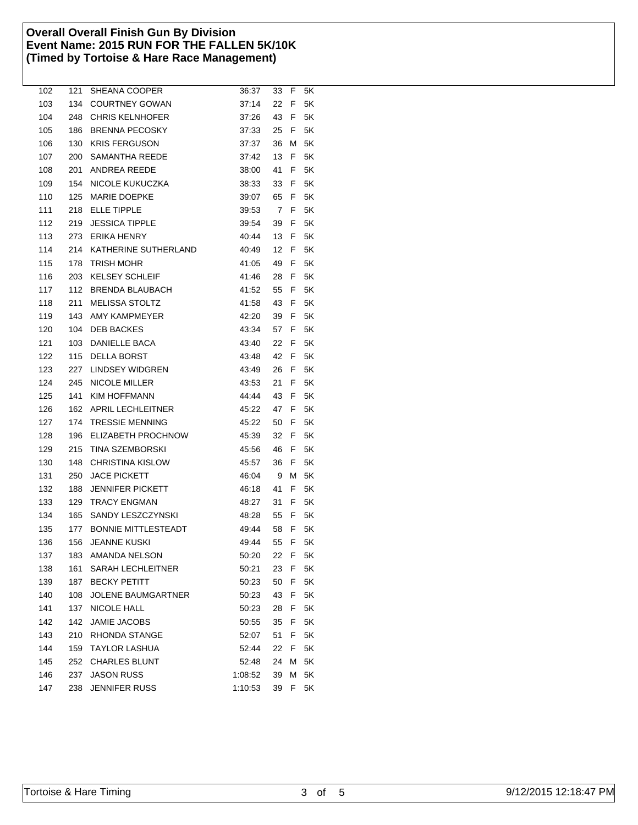| 102 | 121 | SHEANA COOPER              | 36:37   | 33   | F | 5K |  |
|-----|-----|----------------------------|---------|------|---|----|--|
| 103 | 134 | <b>COURTNEY GOWAN</b>      | 37:14   | 22   | F | 5K |  |
| 104 | 248 | <b>CHRIS KELNHOFER</b>     | 37.26   | 43   | F | 5Κ |  |
| 105 | 186 | <b>BRENNA PECOSKY</b>      | 37:33   | 25   | F | 5K |  |
| 106 | 130 | <b>KRIS FERGUSON</b>       | 37:37   | 36   | Μ | 5K |  |
| 107 | 200 | SAMANTHA REEDE             | 37:42   | 13   | F | 5K |  |
| 108 | 201 | <b>ANDREA REEDE</b>        | 38:00   | 41   | F | 5K |  |
| 109 | 154 | NICOLE KUKUCZKA            | 38:33   | 33   | F | 5Κ |  |
| 110 | 125 | <b>MARIE DOEPKE</b>        | 39:07   | 65   | F | 5Κ |  |
| 111 | 218 | <b>ELLE TIPPLE</b>         | 39:53   | 7    | F | 5K |  |
| 112 | 219 | <b>JESSICA TIPPLE</b>      | 39:54   | 39   | F | 5K |  |
| 113 | 273 | <b>ERIKA HENRY</b>         | 40:44   | 13   | F | 5K |  |
| 114 | 214 | KATHERINE SUTHERLAND       | 40:49   | 12   | F | 5K |  |
| 115 | 178 | TRISH MOHR                 | 41:05   | 49   | F | 5Κ |  |
| 116 | 203 | <b>KELSEY SCHLEIF</b>      | 41:46   | 28   | F | 5Κ |  |
| 117 | 112 | <b>BRENDA BLAUBACH</b>     | 41:52   | 55   | F | 5Κ |  |
| 118 | 211 | <b>MELISSA STOLTZ</b>      | 41:58   | 43   | F | 5K |  |
| 119 | 143 | AMY KAMPMEYER              | 42:20   | 39   | F | 5K |  |
| 120 | 104 | <b>DEB BACKES</b>          | 43.34   | 57   | F | 5K |  |
| 121 | 103 | DANIELLE BACA              | 43:40   | 22   | F | 5K |  |
| 122 | 115 | <b>DELLA BORST</b>         | 43:48   | 42   | F | 5Κ |  |
| 123 | 227 | <b>LINDSEY WIDGREN</b>     | 43:49   | 26   | F | 5Κ |  |
| 124 | 245 | <b>NICOLE MILLER</b>       | 43:53   | 21   | F | 5Κ |  |
| 125 | 141 | <b>KIM HOFFMANN</b>        | 44:44   | 43   | F | 5Κ |  |
| 126 | 162 | APRIL LECHLEITNER          | 45:22   | 47   | F | 5Κ |  |
| 127 | 174 | <b>TRESSIE MENNING</b>     | 45:22   | 50   | F | 5K |  |
| 128 | 196 | ELIZABETH PROCHNOW         | 45:39   | 32   | F | 5K |  |
| 129 | 215 | TINA SZEMBORSKI            | 45:56   | 46   | F | 5K |  |
| 130 | 148 | <b>CHRISTINA KISLOW</b>    | 45:57   | 36   | F | 5K |  |
| 131 | 250 | <b>JACE PICKETT</b>        | 46:04   | 9    | Μ | 5K |  |
| 132 | 188 | <b>JENNIFER PICKETT</b>    | 46:18   | 41   | F | 5Κ |  |
| 133 | 129 | TRACY ENGMAN               | 48.27   | 31   | F | 5Κ |  |
| 134 | 165 | SANDY LESZCZYNSKI          | 48:28   | 55   | F | 5Κ |  |
| 135 | 177 | <b>BONNIE MITTLESTEADT</b> | 49:44   | 58   | F | 5K |  |
| 136 | 156 | JEANNE KUSKI               | 49:44   | 55   | F | 5K |  |
| 137 |     | 183 AMANDA NELSON          | 50:20   | 22 F |   | 5Κ |  |
| 138 | 161 | <b>SARAH LECHLEITNER</b>   | 50:21   | 23   | F | 5K |  |
| 139 |     | 187 BECKY PETITT           | 50:23   | 50   | F | 5K |  |
| 140 | 108 | <b>JOLENE BAUMGARTNER</b>  | 50:23   | 43   | F | 5K |  |
| 141 | 137 | NICOLE HALL                | 50:23   | 28   | F | 5K |  |
| 142 | 142 | <b>JAMIE JACOBS</b>        | 50:55   | 35   | F | 5K |  |
| 143 | 210 | RHONDA STANGE              | 52:07   | 51   | F | 5K |  |
| 144 | 159 | <b>TAYLOR LASHUA</b>       | 52:44   | 22   | F | 5K |  |
| 145 | 252 | <b>CHARLES BLUNT</b>       | 52:48   | 24   | Μ | 5K |  |
| 146 | 237 | <b>JASON RUSS</b>          | 1:08:52 | 39   | M | 5K |  |
| 147 | 238 | <b>JENNIFER RUSS</b>       | 1:10:53 | 39   | F | 5K |  |
|     |     |                            |         |      |   |    |  |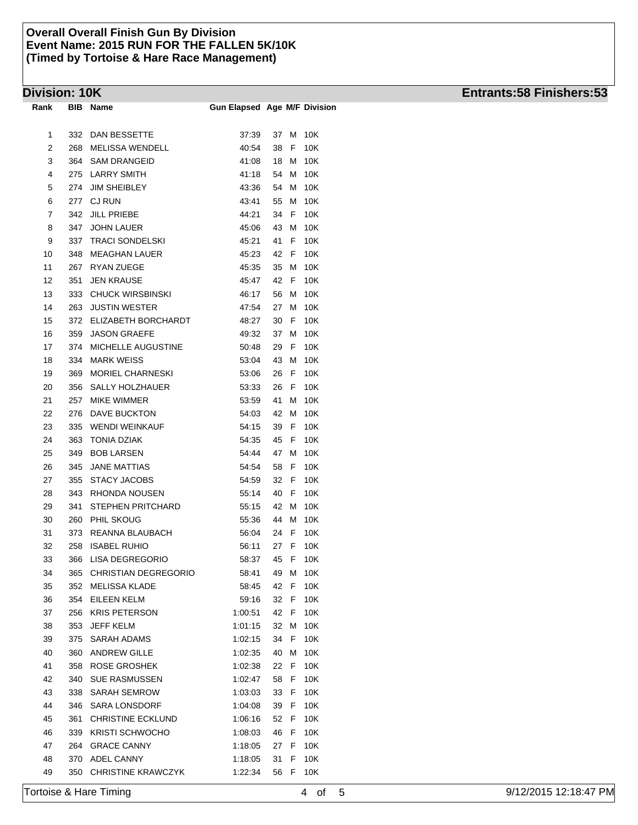| Rank | BIB | Name                      | <b>Gun Elapsed Age M/F Division</b> |    |      |     |
|------|-----|---------------------------|-------------------------------------|----|------|-----|
|      |     |                           |                                     |    |      |     |
| 1    | 332 | DAN BESSETTE              | 37:39                               | 37 | Μ    | 10K |
| 2    | 268 | MELISSA WENDELL           | 40:54                               | 38 | F    | 10K |
| 3    | 364 | <b>SAM DRANGEID</b>       | 41:08                               | 18 | M    | 10K |
| 4    | 275 | <b>LARRY SMITH</b>        | 41:18                               | 54 | М    | 10K |
| 5    | 274 | <b>JIM SHEIBLEY</b>       | 43.36                               | 54 | М    | 10K |
| 6    | 277 | <b>CJ RUN</b>             | 43:41                               | 55 | Μ    | 10K |
| 7    | 342 | <b>JILL PRIEBE</b>        | 44:21                               | 34 | F    | 10K |
| 8    | 347 | JOHN LAUER                | 45:06                               | 43 | Μ    | 10K |
| 9    | 337 | <b>TRACI SONDELSKI</b>    | 45:21                               | 41 | F    | 10K |
| 10   | 348 | <b>MEAGHAN LAUER</b>      | 45:23                               | 42 | F    | 10K |
| 11   | 267 | <b>RYAN ZUEGE</b>         | 45:35                               | 35 | M    | 10K |
| 12   | 351 | <b>JEN KRAUSE</b>         | 45:47                               | 42 | F    | 10K |
| 13   | 333 | <b>CHUCK WIRSBINSKI</b>   | 46:17                               | 56 | M    | 10K |
| 14   | 263 | <b>JUSTIN WESTER</b>      | 47:54                               | 27 | Μ    | 10K |
| 15   | 372 | ELIZABETH BORCHARDT       | 48:27                               | 30 | F    | 10K |
| 16   | 359 | <b>JASON GRAEFE</b>       | 49:32                               | 37 | Μ    | 10K |
| 17   | 374 | MICHELLE AUGUSTINE        | 50:48                               | 29 | F    | 10K |
| 18   | 334 | <b>MARK WEISS</b>         | 53:04                               | 43 | Μ    | 10K |
| 19   | 369 | <b>MORIEL CHARNESKI</b>   | 53:06                               | 26 | F    | 10K |
| 20   | 356 | <b>SALLY HOLZHAUER</b>    | 53:33                               | 26 | F    | 10K |
| 21   | 257 | MIKE WIMMER               | 53.59                               | 41 | М    | 10K |
| 22   | 276 | DAVE BUCKTON              | 54.03                               | 42 | Μ    | 10K |
| 23   | 335 | WENDI WEINKAUF            | 54:15                               | 39 | F    | 10K |
| 24   | 363 | <b>TONIA DZIAK</b>        | 54:35                               | 45 | F    | 10K |
| 25   | 349 | <b>BOB LARSEN</b>         | 54:44                               | 47 | Μ    | 10K |
| 26   | 345 | <b>JANE MATTIAS</b>       | 54:54                               | 58 | F    | 10K |
| 27   | 355 | STACY JACOBS              | 54:59                               | 32 | F    | 10K |
| 28   | 343 | RHONDA NOUSEN             | 55:14                               | 40 | F    | 10K |
| 29   | 341 | STEPHEN PRITCHARD         | 55:15                               | 42 | M    | 10K |
| 30   | 260 | PHIL SKOUG                | 55:36                               | 44 | Μ    | 10K |
| 31   | 373 | REANNA BLAUBACH           | 56:04                               | 24 | F    | 10K |
| 32   | 258 | <b>ISABEL RUHIO</b>       | 56:11                               | 27 | F    | 10K |
| 33   | 366 | LISA DEGREGORIO           | 58:37                               | 45 | F    | 10K |
| 34   |     | 365 CHRISTIAN DEGREGORIO  | 58:41                               |    | 49 M | 10K |
| 35   | 352 | MELISSA KLADE             | 58:45                               | 42 | F    | 10K |
| 36   | 354 | <b>EILEEN KELM</b>        | 59:16                               | 32 | F    | 10K |
| 37   | 256 | <b>KRIS PETERSON</b>      | 1:00:51                             | 42 | F    | 10K |
| 38   | 353 | JEFF KELM                 | 1:01:15                             | 32 | Μ    | 10K |
| 39   | 375 | SARAH ADAMS               | 1:02:15                             | 34 | F    | 10K |
| 40   | 360 | <b>ANDREW GILLE</b>       | 1:02:35                             | 40 | Μ    | 10K |
| 41   | 358 | ROSE GROSHEK              | 1:02:38                             | 22 | F    | 10K |
| 42   | 340 | <b>SUE RASMUSSEN</b>      | 1:02:47                             | 58 | F    | 10K |
| 43   | 338 | <b>SARAH SEMROW</b>       | 1:03:03                             | 33 | F    | 10K |
| 44   | 346 | <b>SARA LONSDORF</b>      | 1:04:08                             | 39 | F    | 10K |
| 45   | 361 | <b>CHRISTINE ECKLUND</b>  | 1:06:16                             | 52 | F    | 10K |
| 46   | 339 | <b>KRISTI SCHWOCHO</b>    | 1:08:03                             | 46 | F    | 10K |
| 47   | 264 | <b>GRACE CANNY</b>        | 1:18:05                             | 27 | F    | 10K |
| 48   | 370 | ADEL CANNY                | 1:18:05                             | 31 | F.   | 10K |
|      |     | <b>CHRISTINE KRAWCZYK</b> |                                     | 56 | F    |     |
| 49   | 350 |                           | 1:22:34                             |    |      | 10K |

# **Division: 10K Entrants:58 Finishers:53**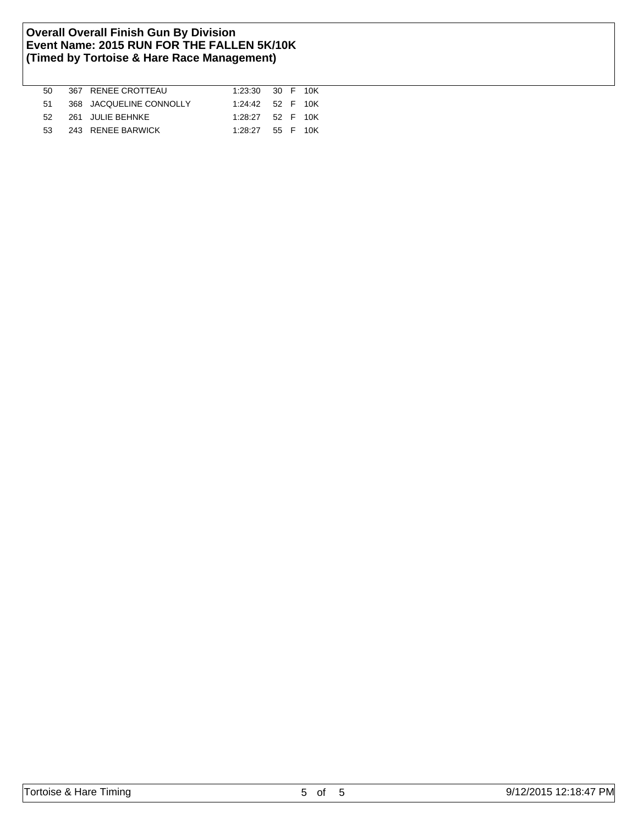| 50 | 367 RENEE CROTTEAU      | 1:23:30 30 F 10K |  |          |
|----|-------------------------|------------------|--|----------|
| 51 | 368 JACQUELINE CONNOLLY | 1:24:42 52 F 10K |  |          |
| 52 | 261 JULIE BEHNKE        | 1:28:27 52 F 10K |  |          |
| 53 | 243 RENEE BARWICK       | 1:28:27          |  | 55 F 10K |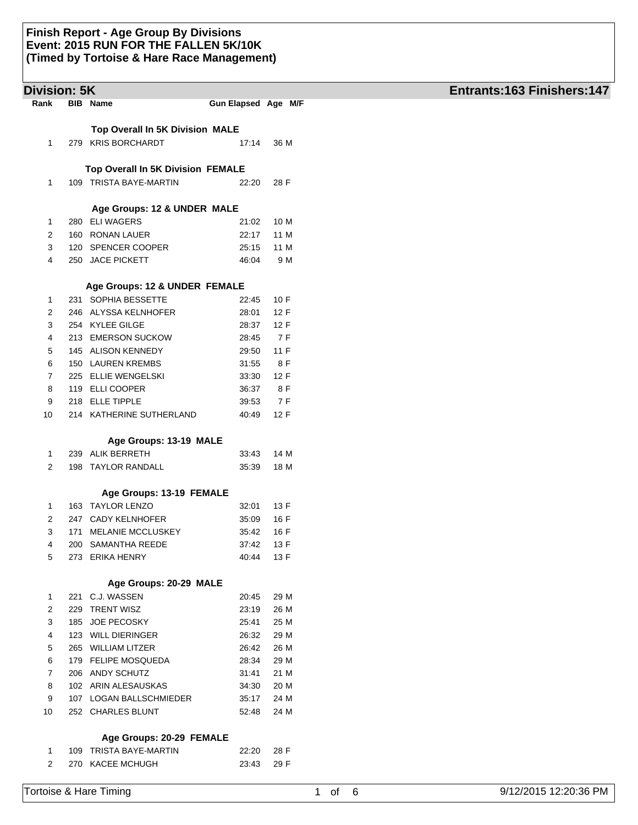| <b>Division: 5K</b> |                                   |                     |      | Entrants:163 Finishers:147 |
|---------------------|-----------------------------------|---------------------|------|----------------------------|
| Rank                | <b>BIB</b> Name                   | Gun Elapsed Age M/F |      |                            |
|                     | Top Overall In 5K Division MALE   |                     |      |                            |
| 1                   | 279 KRIS BORCHARDT                | 17:14               | 36 M |                            |
|                     |                                   |                     |      |                            |
|                     | Top Overall In 5K Division FEMALE |                     |      |                            |
| 1                   | 109 TRISTA BAYE-MARTIN            | 22:20               | 28 F |                            |
|                     |                                   |                     |      |                            |
|                     | Age Groups: 12 & UNDER MALE       |                     |      |                            |
| 1                   | 280 ELI WAGERS                    | 21:02               | 10 M |                            |
| 2                   | 160 RONAN LAUER                   | 22:17               | 11 M |                            |
| 3                   | 120 SPENCER COOPER                | 25:15               | 11 M |                            |
| 4                   | 250 JACE PICKETT                  | 46:04               | 9 M  |                            |
|                     | Age Groups: 12 & UNDER FEMALE     |                     |      |                            |
| 1                   | 231 SOPHIA BESSETTE               | 22:45               | 10 F |                            |
| 2                   | 246 ALYSSA KELNHOFER              | 28:01               | 12 F |                            |
| 3                   | 254 KYLEE GILGE                   | 28:37               | 12 F |                            |
| 4                   | 213 EMERSON SUCKOW                | 28:45               | 7 F  |                            |
| 5                   | 145 ALISON KENNEDY                | 29:50               | 11F  |                            |
| 6                   | 150 LAUREN KREMBS                 | 31:55               | 8 F  |                            |
| 7                   | 225 ELLIE WENGELSKI               | 33:30               | 12 F |                            |
| 8                   | 119 ELLI COOPER                   | 36:37               | 8 F  |                            |
| 9                   | 218 ELLE TIPPLE                   | 39:53               | 7 F  |                            |
| 10                  | 214 KATHERINE SUTHERLAND          | 40:49               | 12 F |                            |
|                     | Age Groups: 13-19 MALE            |                     |      |                            |
|                     | 239 ALIK BERRETH                  |                     | 14 M |                            |
| 1<br>2              | 198 TAYLOR RANDALL                | 33:43<br>35:39      | 18 M |                            |
|                     |                                   |                     |      |                            |
|                     | Age Groups: 13-19 FEMALE          |                     |      |                            |
| 1                   | 163 TAYLOR LENZO                  | 32:01               | 13 F |                            |
| 2                   | 247 CADY KELNHOFER                | 35:09               | 16 F |                            |
| 3                   | 171 MELANIE MCCLUSKEY             | 35:42               | 16 F |                            |
| 4                   | 200 SAMANTHA REEDE                | 37:42               | 13 F |                            |
| 5                   | 273 ERIKA HENRY                   | 40:44               | 13 F |                            |
|                     | Age Groups: 20-29 MALE            |                     |      |                            |
| 1                   | 221 C.J. WASSEN                   | 20:45               | 29 M |                            |
| 2                   | 229 TRENT WISZ                    | 23:19               | 26 M |                            |
| 3                   | 185 JOE PECOSKY                   | 25:41               | 25 M |                            |
| 4                   | 123 WILL DIERINGER                | 26:32               | 29 M |                            |
| 5                   | 265 WILLIAM LITZER                | 26:42               | 26 M |                            |
| 6                   | 179 FELIPE MOSQUEDA               | 28:34               | 29 M |                            |
| 7                   | 206 ANDY SCHUTZ                   | 31:41               | 21 M |                            |
| 8                   | 102 ARIN ALESAUSKAS               | 34:30               | 20 M |                            |
| 9                   | 107 LOGAN BALLSCHMIEDER           | 35:17               | 24 M |                            |
| 10                  | 252 CHARLES BLUNT                 | 52:48               | 24 M |                            |
|                     | Age Groups: 20-29 FEMALE          |                     |      |                            |
| 1                   | 109 TRISTA BAYE-MARTIN            | 22:20               | 28 F |                            |
| 2                   | 270 KACEE MCHUGH                  | 23:43               | 29 F |                            |
|                     |                                   |                     |      |                            |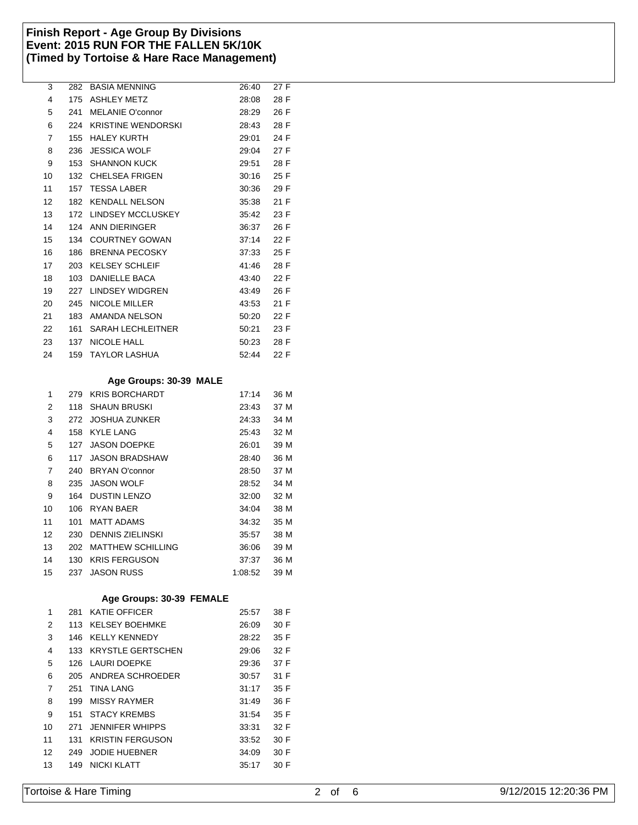| 3  | 282 | <b>BASIA MENNING</b>      | 26:40 | 27 F |
|----|-----|---------------------------|-------|------|
| 4  | 175 | <b>ASHLEY METZ</b>        | 28:08 | 28 F |
| 5  | 241 | <b>MELANIE O'connor</b>   | 28:29 | 26 F |
| 6  | 224 | <b>KRISTINE WENDORSKI</b> | 28:43 | 28 F |
| 7  | 155 | <b>HALEY KURTH</b>        | 29:01 | 24 F |
| 8  | 236 | <b>JESSICA WOLF</b>       | 29:04 | 27 F |
| 9  | 153 | <b>SHANNON KUCK</b>       | 29:51 | 28 F |
| 10 | 132 | <b>CHELSEA FRIGEN</b>     | 30:16 | 25 F |
| 11 | 157 | <b>TESSA LABER</b>        | 30:36 | 29 F |
| 12 | 182 | <b>KENDALL NELSON</b>     | 35.38 | 21 F |
| 13 | 172 | LINDSEY MCCLUSKEY         | 35:42 | 23 F |
| 14 | 124 | ANN DIERINGER             | 36:37 | 26 F |
| 15 | 134 | <b>COURTNEY GOWAN</b>     | 37:14 | 22 F |
| 16 | 186 | <b>BRENNA PECOSKY</b>     | 37:33 | 25 F |
| 17 | 203 | <b>KELSEY SCHLEIF</b>     | 41:46 | 28 F |
| 18 | 103 | <b>DANIELLE BACA</b>      | 43:40 | 22 F |
| 19 | 227 | LINDSEY WIDGREN           | 43:49 | 26 F |
| 20 | 245 | <b>NICOLE MILLER</b>      | 43:53 | 21 F |
| 21 | 183 | AMANDA NELSON             | 50:20 | 22 F |
| 22 | 161 | <b>SARAH LECHLEITNER</b>  | 50:21 | 23 F |
| 23 | 137 | <b>NICOLE HALL</b>        | 50:23 | 28 F |
| 24 | 159 | <b>TAYLOR LASHUA</b>      | 52:44 | 22 F |
|    |     |                           |       |      |

## **Age Groups: 30-39 MALE**

|     | <b>KRIS BORCHARDT</b>    | 17:14                                                | 36 M |
|-----|--------------------------|------------------------------------------------------|------|
| 118 | <b>SHAUN BRUSKI</b>      | 23:43                                                | 37 M |
|     |                          | 24:33                                                | 34 M |
|     | <b>KYLE LANG</b>         | 25.43                                                | 32 M |
|     | <b>JASON DOEPKE</b>      | 26:01                                                | 39 M |
| 117 | <b>JASON BRADSHAW</b>    | 28:40                                                | 36 M |
| 240 | <b>BRYAN O'connor</b>    | 28:50                                                | 37 M |
|     | <b>JASON WOLF</b>        | 28:52                                                | 34 M |
| 164 | <b>DUSTIN LENZO</b>      | 32:00                                                | 32 M |
| 106 | RYAN BAER                | 34:04                                                | 38 M |
| 101 | <b>MATT ADAMS</b>        | 34:32                                                | 35 M |
| 230 | <b>DENNIS ZIELINSKI</b>  | 35:57                                                | 38 M |
| 202 | <b>MATTHEW SCHILLING</b> | 36:06                                                | 39 M |
| 130 | <b>KRIS FERGUSON</b>     | 37:37                                                | 36 M |
|     | <b>JASON RUSS</b>        | 1:08:52                                              | 39 M |
|     |                          | 279<br>272 JOSHUA ZUNKER<br>158<br>127<br>235<br>237 |      |

# **Age Groups: 30-39 FEMALE**

| 1              | 281  | <b>KATIE OFFICER</b>    | 25:57 | 38 F |
|----------------|------|-------------------------|-------|------|
| 2              |      | 113 KELSEY BOEHMKE      | 26:09 | 30 F |
| 3              |      | 146 KELLY KENNEDY       | 28:22 | 35 F |
| 4              |      | 133 KRYSTLE GERTSCHEN   | 29:06 | 32 F |
| 5              | 126. | LAURI DOEPKE            | 29:36 | 37 F |
| 6              | 205  | ANDREA SCHROEDER        | 30:57 | 31 F |
| $\overline{7}$ | 251  | <b>TINA LANG</b>        | 31:17 | 35 F |
| 8              | 199  | MISSY RAYMER            | 31:49 | 36 F |
| 9              | 151  | STACY KREMBS            | 31:54 | 35 F |
| 10             | 271  | <b>JENNIFER WHIPPS</b>  | 33:31 | 32 F |
| 11             | 131  | <b>KRISTIN FERGUSON</b> | 33:52 | 30 F |
| 12             | 249  | <b>JODIE HUEBNER</b>    | 34:09 | 30 F |
| 13             | 149  | <b>NICKI KLATT</b>      | 35:17 | 30 F |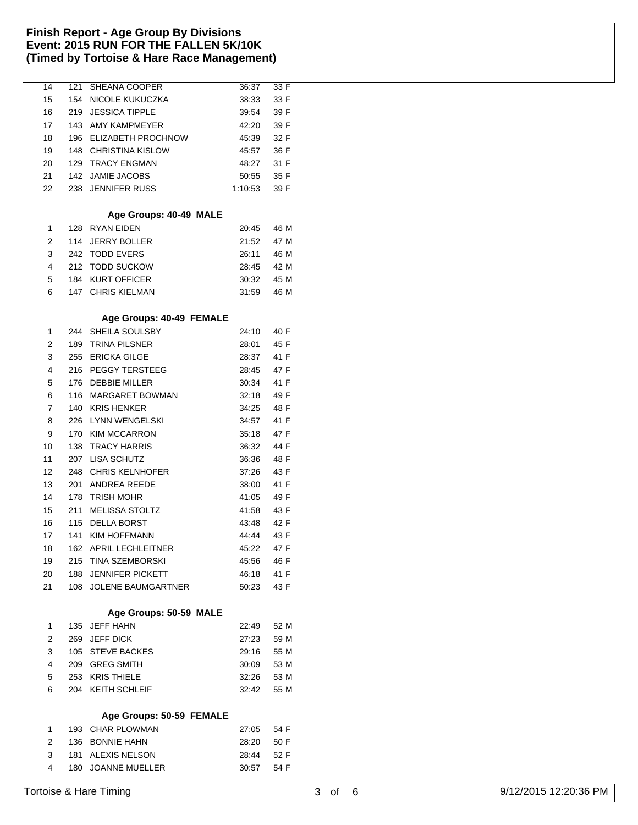| 14                      |     | 121 SHEANA COOPER        | 36:37   | 33 F |           |                       |
|-------------------------|-----|--------------------------|---------|------|-----------|-----------------------|
| 15                      |     | 154 NICOLE KUKUCZKA      | 38:33   | 33 F |           |                       |
| 16                      |     | 219 JESSICA TIPPLE       | 39:54   | 39 F |           |                       |
| 17                      |     | 143 AMY KAMPMEYER        | 42:20   | 39 F |           |                       |
| 18                      |     | 196 ELIZABETH PROCHNOW   | 45:39   | 32 F |           |                       |
| 19                      |     | 148 CHRISTINA KISLOW     | 45:57   | 36 F |           |                       |
| 20                      |     | 129 TRACY ENGMAN         | 48:27   | 31 F |           |                       |
| 21                      |     | 142 JAMIE JACOBS         | 50:55   | 35 F |           |                       |
| 22                      |     | 238 JENNIFER RUSS        | 1:10:53 | 39 F |           |                       |
|                         |     |                          |         |      |           |                       |
|                         |     | Age Groups: 40-49 MALE   |         |      |           |                       |
| $\mathbf{1}$            |     | 128 RYAN EIDEN           | 20:45   | 46 M |           |                       |
| $\overline{\mathbf{c}}$ |     | 114 JERRY BOLLER         | 21:52   | 47 M |           |                       |
|                         |     |                          |         |      |           |                       |
| 3                       |     | 242 TODD EVERS           | 26:11   | 46 M |           |                       |
| 4                       |     | 212 TODD SUCKOW          | 28:45   | 42 M |           |                       |
| 5                       |     | 184 KURT OFFICER         | 30:32   | 45 M |           |                       |
| 6                       |     | 147 CHRIS KIELMAN        | 31:59   | 46 M |           |                       |
|                         |     |                          |         |      |           |                       |
|                         |     | Age Groups: 40-49 FEMALE |         |      |           |                       |
| $\mathbf{1}$            |     | 244 SHEILA SOULSBY       | 24:10   | 40 F |           |                       |
| 2                       |     | 189 TRINA PILSNER        | 28:01   | 45 F |           |                       |
| 3                       |     | 255 ERICKA GILGE         | 28:37   | 41 F |           |                       |
| 4                       |     | 216 PEGGY TERSTEEG       | 28:45   | 47 F |           |                       |
| 5                       |     | 176 DEBBIE MILLER        | 30:34   | 41 F |           |                       |
| 6                       |     | 116 MARGARET BOWMAN      | 32:18   | 49 F |           |                       |
| $\overline{7}$          |     | 140 KRIS HENKER          | 34:25   | 48 F |           |                       |
| 8                       |     | 226 LYNN WENGELSKI       | 34:57   | 41 F |           |                       |
| 9                       |     | 170 KIM MCCARRON         | 35:18   | 47 F |           |                       |
| 10                      |     | 138 TRACY HARRIS         | 36:32   | 44 F |           |                       |
| 11                      |     | 207 LISA SCHUTZ          | 36:36   | 48 F |           |                       |
| 12                      |     | 248 CHRIS KELNHOFER      | 37:26   | 43 F |           |                       |
| 13                      |     | 201 ANDREA REEDE         | 38:00   | 41 F |           |                       |
| 14                      |     | 178 TRISH MOHR           | 41:05   | 49 F |           |                       |
| 15                      |     | 211 MELISSA STOLTZ       | 41:58   | 43 F |           |                       |
| 16                      |     | 115 DELLA BORST          | 43:48   | 42 F |           |                       |
|                         |     |                          |         |      |           |                       |
| 17                      |     | 141 KIM HOFFMANN         | 44:44   | 43 F |           |                       |
| 18                      |     | 162 APRIL LECHLEITNER    | 45:22   | 47 F |           |                       |
| 19                      |     | 215 TINA SZEMBORSKI      | 45:56   | 46 F |           |                       |
| 20                      | 188 | JENNIFER PICKETT         | 46:18   | 41 F |           |                       |
| 21                      |     | 108 JOLENE BAUMGARTNER   | 50:23   | 43 F |           |                       |
|                         |     |                          |         |      |           |                       |
|                         |     | Age Groups: 50-59 MALE   |         |      |           |                       |
| 1                       |     | 135 JEFF HAHN            | 22:49   | 52 M |           |                       |
| 2                       |     | 269 JEFF DICK            | 27:23   | 59 M |           |                       |
| 3                       |     | 105 STEVE BACKES         | 29:16   | 55 M |           |                       |
| 4                       |     | 209 GREG SMITH           | 30:09   | 53 M |           |                       |
| 5                       |     | 253 KRIS THIELE          | 32:26   | 53 M |           |                       |
| 6                       |     | 204 KEITH SCHLEIF        | 32:42   | 55 M |           |                       |
|                         |     |                          |         |      |           |                       |
|                         |     | Age Groups: 50-59 FEMALE |         |      |           |                       |
| 1                       |     | 193 CHAR PLOWMAN         | 27:05   | 54 F |           |                       |
| 2                       |     | 136 BONNIE HAHN          | 28:20   | 50 F |           |                       |
| 3                       |     | 181 ALEXIS NELSON        | 28:44   | 52 F |           |                       |
| 4                       |     | 180 JOANNE MUELLER       | 30:57   | 54 F |           |                       |
|                         |     |                          |         |      |           |                       |
|                         |     | Tortoise & Hare Timing   |         |      | 3 of<br>6 | 9/12/2015 12:20:36 PM |
|                         |     |                          |         |      |           |                       |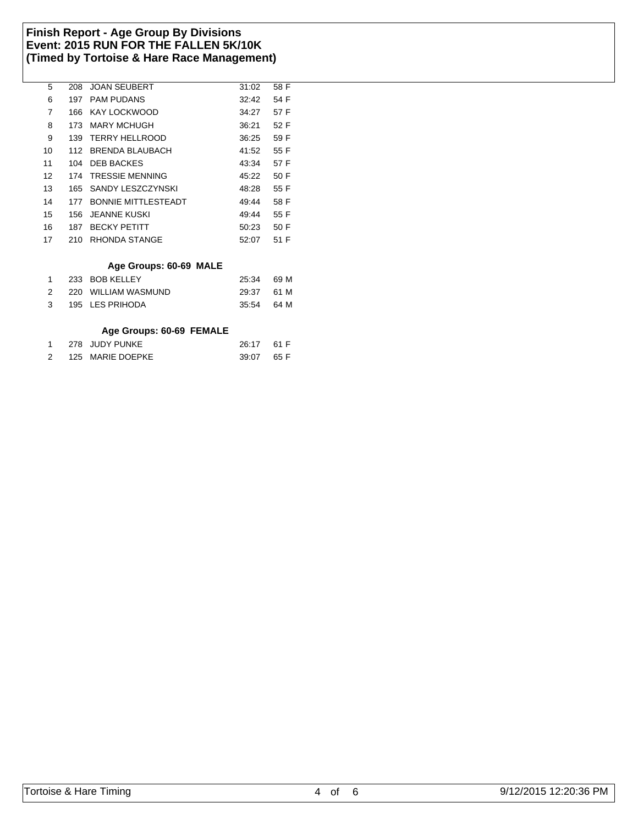| 5  | 208  | <b>JOAN SEUBERT</b>         | 31:02 | 58 F |  |
|----|------|-----------------------------|-------|------|--|
| 6  | 197  | <b>PAM PUDANS</b>           | 32:42 | 54 F |  |
| 7  | 166  | KAY LOCKWOOD                | 34.27 | 57 F |  |
| 8  | 173. | MARY MCHUGH                 | 36:21 | 52 F |  |
| 9  | 139  | TERRY HELLROOD              | 36.25 | 59 F |  |
| 10 | 112  | BRENDA BLAUBACH             | 41:52 | 55 F |  |
| 11 | 104  | DEB BACKES                  | 43:34 | 57 F |  |
| 12 | 174  | <b>TRESSIE MENNING</b>      | 45:22 | 50 F |  |
| 13 | 165  | SANDY LESZCZYNSKI           | 48.28 | 55 F |  |
| 14 | 177  | <b>BONNIE MITTI ESTEADT</b> | 49.44 | 58 F |  |
| 15 | 156  | JFANNE KUSKI                | 49.44 | 55 F |  |
| 16 | 187  | <b>BECKY PETITT</b>         | 50.23 | 50 F |  |
| 17 | 210  | RHONDA STANGE               | 52:07 | 51 F |  |
|    |      |                             |       |      |  |

## **Age Groups: 60-69 MALE**

|               | 233 BOB KELLEY      | 25:34 69 M |  |
|---------------|---------------------|------------|--|
| $\mathcal{P}$ | 220 WILLIAM WASMUND | 29:37 61 M |  |
| $\mathbf{3}$  | 195 LES PRIHODA     | 35.54 64 M |  |

### **Age Groups: 60-69 FEMALE**

|  | 1 278 JUDY PUNKE   | 26:17 61 F |  |
|--|--------------------|------------|--|
|  | 2 125 MARIE DOEPKE | 39:07 65 F |  |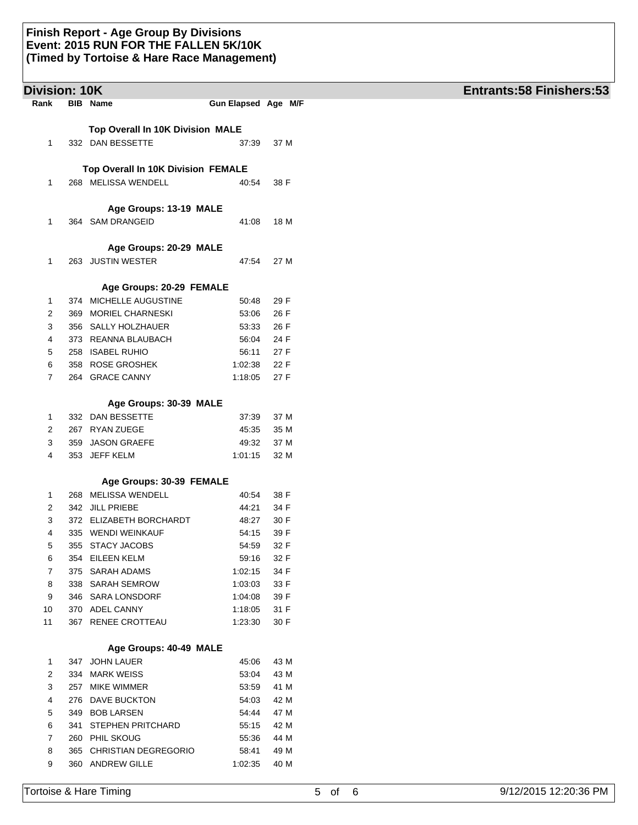| <b>Division: 10K</b> |     |                                            |                     |              | <b>Entrants:58 Finishers:53</b> |
|----------------------|-----|--------------------------------------------|---------------------|--------------|---------------------------------|
| Rank                 |     | <b>BIB</b> Name                            | Gun Elapsed Age M/F |              |                                 |
|                      |     | Top Overall In 10K Division MALE           |                     |              |                                 |
| 1                    |     | 332 DAN BESSETTE                           | 37:39               | 37 M         |                                 |
|                      |     |                                            |                     |              |                                 |
|                      |     | Top Overall In 10K Division FEMALE         |                     |              |                                 |
| 1                    |     | 268 MELISSA WENDELL                        | 40:54               | 38 F         |                                 |
|                      |     | Age Groups: 13-19 MALE                     |                     |              |                                 |
| 1                    |     | 364 SAM DRANGEID                           | 41:08               | 18 M         |                                 |
|                      |     |                                            |                     |              |                                 |
|                      |     | Age Groups: 20-29 MALE                     |                     |              |                                 |
| 1                    |     | 263 JUSTIN WESTER                          | 47:54               | 27 M         |                                 |
|                      |     | Age Groups: 20-29 FEMALE                   |                     |              |                                 |
| 1                    |     | 374 MICHELLE AUGUSTINE                     | 50:48               | 29 F         |                                 |
| 2                    |     | 369 MORIEL CHARNESKI                       | 53:06               | 26 F         |                                 |
| 3                    |     | 356 SALLY HOLZHAUER                        | 53:33               | 26 F         |                                 |
| 4                    |     | 373 REANNA BLAUBACH                        | 56:04               | 24 F         |                                 |
| 5                    |     | 258 ISABEL RUHIO                           | 56:11               | 27 F         |                                 |
| 6                    |     | 358 ROSE GROSHEK                           | 1:02:38             | 22 F         |                                 |
| 7                    |     | 264 GRACE CANNY                            | 1:18:05             | 27 F         |                                 |
|                      |     | Age Groups: 30-39 MALE                     |                     |              |                                 |
| 1                    |     | 332 DAN BESSETTE                           | 37:39               | 37 M         |                                 |
| 2                    |     | 267 RYAN ZUEGE                             | 45:35               | 35 M         |                                 |
| 3                    |     | 359 JASON GRAEFE                           | 49:32               | 37 M         |                                 |
| 4                    |     | 353 JEFF KELM                              | 1:01:15             | 32 M         |                                 |
|                      |     | Age Groups: 30-39 FEMALE                   |                     |              |                                 |
| 1                    |     | 268 MELISSA WENDELL                        | 40:54               | 38 F         |                                 |
| 2                    |     | 342 JILL PRIEBE                            | 44:21               | 34 F         |                                 |
| 3                    |     | 372 ELIZABETH BORCHARDT                    |                     |              |                                 |
| 4                    |     | 335 WENDI WEINKAUF                         | 48:27               | 30 F<br>39 F |                                 |
|                      |     |                                            | 54:15<br>54:59      | 32 F         |                                 |
| 5                    |     | 355 STACY JACOBS                           |                     |              |                                 |
| 6                    |     | 354 EILEEN KELM<br>375 SARAH ADAMS         | 59:16               | 32 F<br>34 F |                                 |
| 7                    |     |                                            | 1:02:15             |              |                                 |
| 8                    |     | 338 SARAH SEMROW                           | 1:03:03             | 33 F         |                                 |
| 9                    |     | 346 SARA LONSDORF                          | 1:04:08             | 39 F         |                                 |
| 10<br>11             | 367 | 370 ADEL CANNY<br>RENEE CROTTEAU           | 1:18:05<br>1.23.30  | 31 F<br>30 F |                                 |
|                      |     |                                            |                     |              |                                 |
| 1                    |     | Age Groups: 40-49 MALE<br>347 JOHN LAUER   | 45:06               | 43 M         |                                 |
| 2                    |     | 334 MARK WEISS                             | 53:04               | 43 M         |                                 |
| 3                    |     | 257 MIKE WIMMER                            | 53:59               | 41 M         |                                 |
| 4                    |     | 276 DAVE BUCKTON                           | 54:03               | 42 M         |                                 |
| 5                    |     | 349 BOB LARSEN                             | 54:44               | 47 M         |                                 |
|                      | 341 | <b>STEPHEN PRITCHARD</b>                   | 55:15               | 42 M         |                                 |
|                      |     |                                            |                     |              |                                 |
| 6                    |     |                                            |                     |              |                                 |
| 7<br>8               |     | 260 PHIL SKOUG<br>365 CHRISTIAN DEGREGORIO | 55:36<br>58:41      | 44 M<br>49 M |                                 |